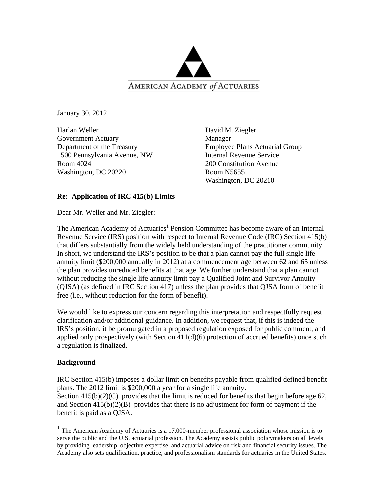

January 30, 2012

Harlan Weller Government Actuary Department of the Treasury 1500 Pennsylvania Avenue, NW Room 4024 Washington, DC 20220

David M. Ziegler Manager Employee Plans Actuarial Group Internal Revenue Service 200 Constitution Avenue Room N5655 Washington, DC 20210

# **Re: Application of IRC 415(b) Limits**

Dear Mr. Weller and Mr. Ziegler:

The American Academy of Actuaries<sup>1</sup> Pension Committee has become aware of an Internal Revenue Service (IRS) position with respect to Internal Revenue Code (IRC) Section 415(b) that differs substantially from the widely held understanding of the practitioner community. In short, we understand the IRS's position to be that a plan cannot pay the full single life annuity limit (\$200,000 annually in 2012) at a commencement age between 62 and 65 unless the plan provides unreduced benefits at that age. We further understand that a plan cannot without reducing the single life annuity limit pay a Qualified Joint and Survivor Annuity (QJSA) (as defined in IRC Section 417) unless the plan provides that QJSA form of benefit free (i.e., without reduction for the form of benefit).

We would like to express our concern regarding this interpretation and respectfully request clarification and/or additional guidance. In addition, we request that, if this is indeed the IRS's position, it be promulgated in a proposed regulation exposed for public comment, and applied only prospectively (with Section  $411(d)(6)$  protection of accrued benefits) once such a regulation is finalized.

# **Background**

 $\overline{a}$ 

IRC Section 415(b) imposes a dollar limit on benefits payable from qualified defined benefit plans. The 2012 limit is \$200,000 a year for a single life annuity.

Section  $415(b)(2)(C)$  provides that the limit is reduced for benefits that begin before age 62, and Section  $415(b)(2)(B)$  provides that there is no adjustment for form of payment if the benefit is paid as a QJSA.

<sup>&</sup>lt;sup>1</sup> The American Academy of Actuaries is a 17,000-member professional association whose mission is to serve the public and the U.S. actuarial profession. The Academy assists public policymakers on all levels by providing leadership, objective expertise, and actuarial advice on risk and financial security issues. The Academy also sets qualification, practice, and professionalism standards for actuaries in the United States.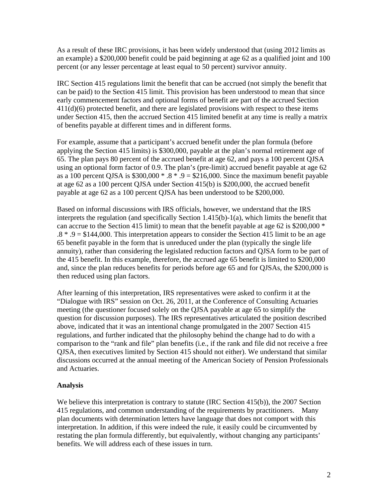As a result of these IRC provisions, it has been widely understood that (using 2012 limits as an example) a \$200,000 benefit could be paid beginning at age 62 as a qualified joint and 100 percent (or any lesser percentage at least equal to 50 percent) survivor annuity.

IRC Section 415 regulations limit the benefit that can be accrued (not simply the benefit that can be paid) to the Section 415 limit. This provision has been understood to mean that since early commencement factors and optional forms of benefit are part of the accrued Section 411(d)(6) protected benefit, and there are legislated provisions with respect to these items under Section 415, then the accrued Section 415 limited benefit at any time is really a matrix of benefits payable at different times and in different forms.

For example, assume that a participant's accrued benefit under the plan formula (before applying the Section 415 limits) is \$300,000, payable at the plan's normal retirement age of 65. The plan pays 80 percent of the accrued benefit at age 62, and pays a 100 percent QJSA using an optional form factor of 0.9. The plan's (pre-limit) accrued benefit payable at age 62 as a 100 percent QJSA is  $$300,000 * .8 * .9 = $216,000$ . Since the maximum benefit payable at age 62 as a 100 percent QJSA under Section 415(b) is \$200,000, the accrued benefit payable at age 62 as a 100 percent QJSA has been understood to be \$200,000.

Based on informal discussions with IRS officials, however, we understand that the IRS interprets the regulation (and specifically Section 1.415(b)-1(a), which limits the benefit that can accrue to the Section 415 limit) to mean that the benefit payable at age 62 is  $$200,000*$ .8 \* .9 = \$144,000. This interpretation appears to consider the Section 415 limit to be an age 65 benefit payable in the form that is unreduced under the plan (typically the single life annuity), rather than considering the legislated reduction factors and QJSA form to be part of the 415 benefit. In this example, therefore, the accrued age 65 benefit is limited to \$200,000 and, since the plan reduces benefits for periods before age 65 and for QJSAs, the \$200,000 is then reduced using plan factors.

After learning of this interpretation, IRS representatives were asked to confirm it at the "Dialogue with IRS" session on Oct. 26, 2011, at the Conference of Consulting Actuaries meeting (the questioner focused solely on the QJSA payable at age 65 to simplify the question for discussion purposes). The IRS representatives articulated the position described above, indicated that it was an intentional change promulgated in the 2007 Section 415 regulations, and further indicated that the philosophy behind the change had to do with a comparison to the "rank and file" plan benefits (i.e., if the rank and file did not receive a free QJSA, then executives limited by Section 415 should not either). We understand that similar discussions occurred at the annual meeting of the American Society of Pension Professionals and Actuaries.

## **Analysis**

We believe this interpretation is contrary to statute (IRC Section 415(b)), the 2007 Section 415 regulations, and common understanding of the requirements by practitioners. Many plan documents with determination letters have language that does not comport with this interpretation. In addition, if this were indeed the rule, it easily could be circumvented by restating the plan formula differently, but equivalently, without changing any participants' benefits. We will address each of these issues in turn.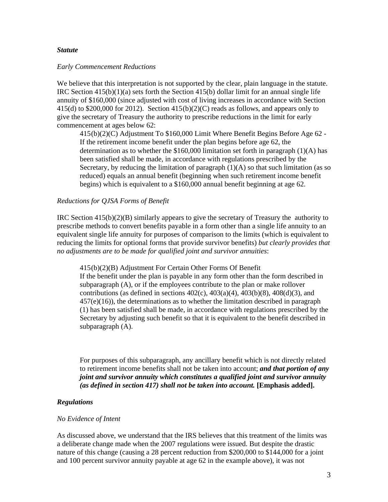#### *Statute*

#### *Early Commencement Reductions*

We believe that this interpretation is not supported by the clear, plain language in the statute. IRC Section  $415(b)(1)(a)$  sets forth the Section  $415(b)$  dollar limit for an annual single life annuity of \$160,000 (since adjusted with cost of living increases in accordance with Section 415(d) to  $$200,000$  for  $2012$ ). Section  $415(b)(2)(C)$  reads as follows, and appears only to give the secretary of Treasury the authority to prescribe reductions in the limit for early commencement at ages below 62:

415(b)(2)(C) Adjustment To \$160,000 Limit Where Benefit Begins Before Age 62 - If the retirement income benefit under the plan begins before age 62, the determination as to whether the \$160,000 limitation set forth in paragraph (1)(A) has been satisfied shall be made, in accordance with regulations prescribed by the Secretary, by reducing the limitation of paragraph  $(1)(A)$  so that such limitation (as so reduced) equals an annual benefit (beginning when such retirement income benefit begins) which is equivalent to a \$160,000 annual benefit beginning at age 62.

#### *Reductions for QJSA Forms of Benefit*

IRC Section  $415(b)(2)(B)$  similarly appears to give the secretary of Treasury the authority to prescribe methods to convert benefits payable in a form other than a single life annuity to an equivalent single life annuity for purposes of comparison to the limits (which is equivalent to reducing the limits for optional forms that provide survivor benefits) *but clearly provides that no adjustments are to be made for qualified joint and survivor annuities*:

415(b)(2)(B) Adjustment For Certain Other Forms Of Benefit If the benefit under the plan is payable in any form other than the form described in subparagraph (A), or if the employees contribute to the plan or make rollover contributions (as defined in sections  $402(c)$ ,  $403(a)(4)$ ,  $403(b)(8)$ ,  $408(d)(3)$ , and  $457(e)(16)$ , the determinations as to whether the limitation described in paragraph (1) has been satisfied shall be made, in accordance with regulations prescribed by the Secretary by adjusting such benefit so that it is equivalent to the benefit described in subparagraph (A).

For purposes of this subparagraph, any ancillary benefit which is not directly related to retirement income benefits shall not be taken into account; *and that portion of any joint and survivor annuity which constitutes a qualified joint and survivor annuity (as defined in section 417) shall not be taken into account.* **[Emphasis added].**

# *Regulations*

## *No Evidence of Intent*

As discussed above, we understand that the IRS believes that this treatment of the limits was a deliberate change made when the 2007 regulations were issued. But despite the drastic nature of this change (causing a 28 percent reduction from \$200,000 to \$144,000 for a joint and 100 percent survivor annuity payable at age 62 in the example above), it was not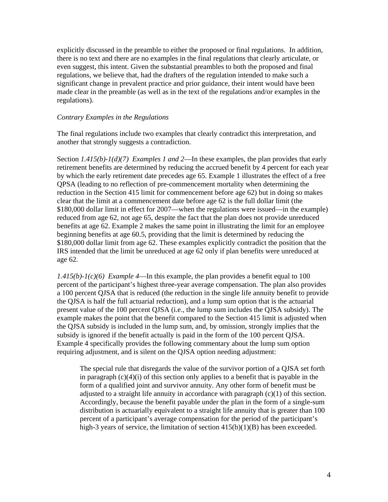explicitly discussed in the preamble to either the proposed or final regulations. In addition, there is no text and there are no examples in the final regulations that clearly articulate, or even suggest, this intent. Given the substantial preambles to both the proposed and final regulations, we believe that, had the drafters of the regulation intended to make such a significant change in prevalent practice and prior guidance, their intent would have been made clear in the preamble (as well as in the text of the regulations and/or examples in the regulations).

# *Contrary Examples in the Regulations*

The final regulations include two examples that clearly contradict this interpretation, and another that strongly suggests a contradiction.

Section *1.415(b)-1(d)(7) Examples 1 and 2*—In these examples, the plan provides that early retirement benefits are determined by reducing the accrued benefit by 4 percent for each year by which the early retirement date precedes age 65. Example 1 illustrates the effect of a free QPSA (leading to no reflection of pre-commencement mortality when determining the reduction in the Section 415 limit for commencement before age 62) but in doing so makes clear that the limit at a commencement date before age 62 is the full dollar limit (the \$180,000 dollar limit in effect for 2007—when the regulations were issued—in the example) reduced from age 62, not age 65, despite the fact that the plan does not provide unreduced benefits at age 62. Example 2 makes the same point in illustrating the limit for an employee beginning benefits at age 60.5, providing that the limit is determined by reducing the \$180,000 dollar limit from age 62. These examples explicitly contradict the position that the IRS intended that the limit be unreduced at age 62 only if plan benefits were unreduced at age 62.

*1.415(b)-1(c)(6) Example 4*—In this example, the plan provides a benefit equal to 100 percent of the participant's highest three-year average compensation. The plan also provides a 100 percent QJSA that is reduced (the reduction in the single life annuity benefit to provide the QJSA is half the full actuarial reduction), and a lump sum option that is the actuarial present value of the 100 percent QJSA (i.e., the lump sum includes the QJSA subsidy). The example makes the point that the benefit compared to the Section 415 limit is adjusted when the QJSA subsidy is included in the lump sum, and, by omission, strongly implies that the subsidy is ignored if the benefit actually is paid in the form of the 100 percent QJSA. Example 4 specifically provides the following commentary about the lump sum option requiring adjustment, and is silent on the QJSA option needing adjustment:

The special rule that disregards the value of the survivor portion of a QJSA set forth in paragraph  $(c)(4)(i)$  of this section only applies to a benefit that is payable in the form of a qualified joint and survivor annuity. Any other form of benefit must be adjusted to a straight life annuity in accordance with paragraph (c)(1) of this section. Accordingly, because the benefit payable under the plan in the form of a single-sum distribution is actuarially equivalent to a straight life annuity that is greater than 100 percent of a participant's average compensation for the period of the participant's high-3 years of service, the limitation of section  $415(b)(1)(B)$  has been exceeded.